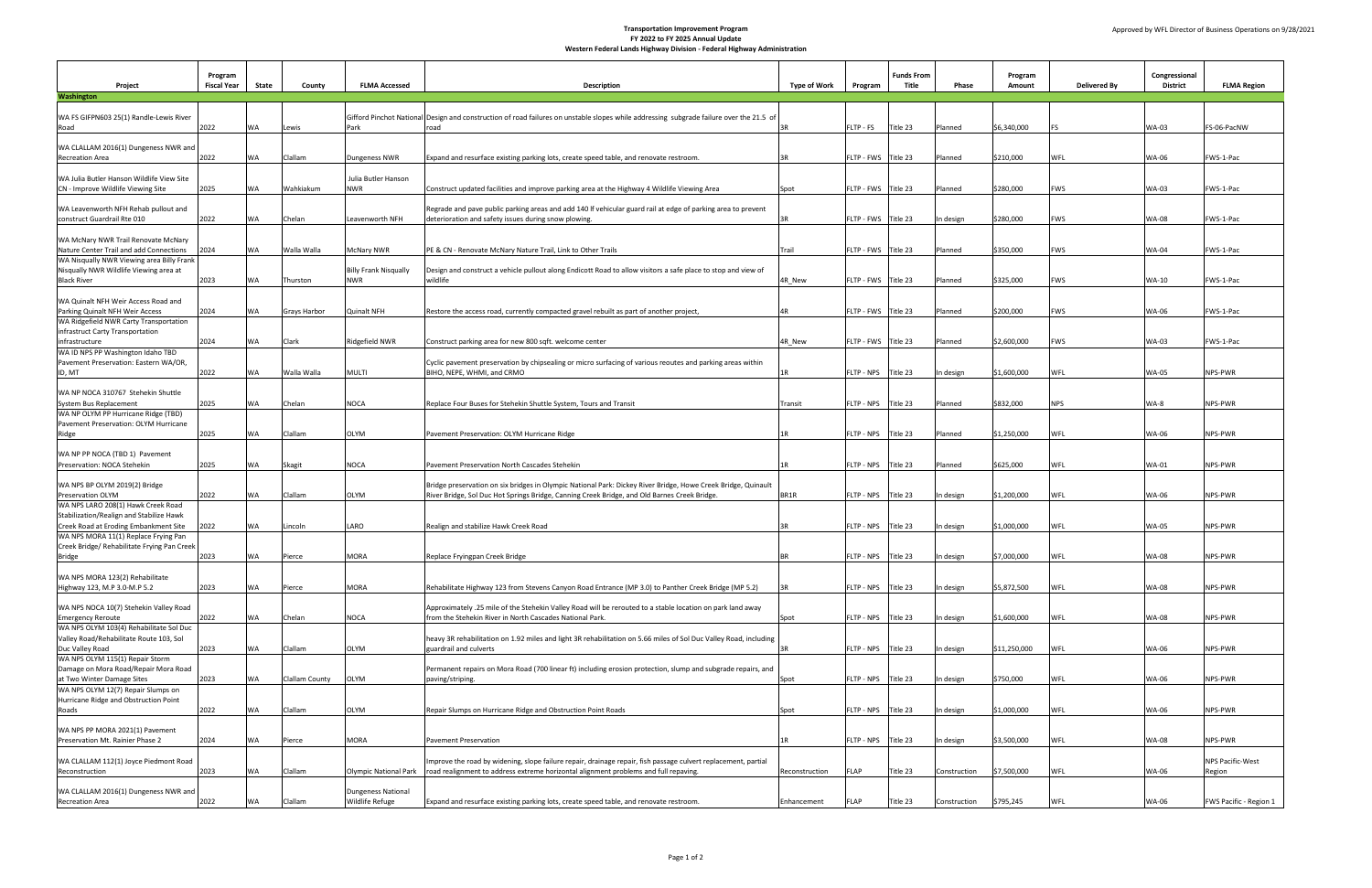**Transportation Improvement Program**

**FY 2022 to FY 2025 Annual Update**

**Western Federal Lands Highway Division - Federal Highway Administration**

| Project                                                                              | Program<br><b>Fiscal Year</b> | <b>State</b> | <b>County</b>         | <b>FLMA Accessed</b>                  | <b>Description</b>                                                                                                                                                   | <b>Type of Work</b> | Program               | <b>Funds From</b><br><b>Title</b> | <b>Phase</b> | Program<br>Amount       | <b>Delivered By</b> | Congressional<br><b>District</b> | <b>FLMA Region</b>            |
|--------------------------------------------------------------------------------------|-------------------------------|--------------|-----------------------|---------------------------------------|----------------------------------------------------------------------------------------------------------------------------------------------------------------------|---------------------|-----------------------|-----------------------------------|--------------|-------------------------|---------------------|----------------------------------|-------------------------------|
| <b>Washington</b>                                                                    |                               |              |                       |                                       |                                                                                                                                                                      |                     |                       |                                   |              |                         |                     |                                  |                               |
| WA FS GIFPN603 25(1) Randle-Lewis River                                              |                               |              |                       |                                       | Gifford Pinchot National Design and construction of road failures on unstable slopes while addressing subgrade failure over the 21.5 of                              |                     |                       |                                   |              |                         |                     |                                  |                               |
| Road                                                                                 | 2022                          | <b>WA</b>    | Lewis                 | Park                                  | road                                                                                                                                                                 |                     | FLTP - FS   Title 23  |                                   | Planned      | \$6,340,000             |                     | <b>WA-03</b>                     | FS-06-PacNW                   |
| WA CLALLAM 2016(1) Dungeness NWR and                                                 |                               |              |                       |                                       |                                                                                                                                                                      |                     |                       |                                   |              |                         |                     |                                  |                               |
| <b>Recreation Area</b>                                                               | 2022                          | <b>WA</b>    | <b>Clallam</b>        | Dungeness NWR                         | Expand and resurface existing parking lots, create speed table, and renovate restroom.                                                                               |                     | FLTP - FWS Title 23   |                                   | Planned      | \$210,000               | <b>WFL</b>          | <b>WA-06</b>                     | FWS-1-Pac                     |
| WA Julia Butler Hanson Wildlife View Site                                            |                               |              |                       | Julia Butler Hanson                   |                                                                                                                                                                      |                     |                       |                                   |              |                         |                     |                                  |                               |
| CN - Improve Wildlife Viewing Site                                                   | 2025                          | <b>WA</b>    | Wahkiakum             | <b>NWR</b>                            | Construct updated facilities and improve parking area at the Highway 4 Wildlife Viewing Area                                                                         | <b>Spot</b>         | FLTP - FWS Title 23   |                                   | Planned      | \$280,000               | <b>FWS</b>          | <b>WA-03</b>                     | FWS-1-Pac                     |
|                                                                                      |                               |              |                       |                                       |                                                                                                                                                                      |                     |                       |                                   |              |                         |                     |                                  |                               |
| WA Leavenworth NFH Rehab pullout and<br>construct Guardrail Rte 010                  | 2022                          | <b>WA</b>    | Chelan                | Leavenworth NFH                       | Regrade and pave public parking areas and add 140 If vehicular guard rail at edge of parking area to prevent<br>deterioration and safety issues during snow plowing. |                     | FLTP - FWS Title 23   |                                   | In design    | \$280,000               | <b>FWS</b>          | <b>WA-08</b>                     | FWS-1-Pac                     |
|                                                                                      |                               |              |                       |                                       |                                                                                                                                                                      |                     |                       |                                   |              |                         |                     |                                  |                               |
| WA McNary NWR Trail Renovate McNary                                                  |                               |              |                       |                                       |                                                                                                                                                                      |                     |                       |                                   |              |                         |                     |                                  |                               |
| Nature Center Trail and add Connections<br>WA Nisqually NWR Viewing area Billy Frank | 2024                          | <b>WA</b>    | Walla Walla           | <b>McNary NWR</b>                     | PE & CN - Renovate McNary Nature Trail, Link to Other Trails                                                                                                         | Trail               | FLTP - FWS Title 23   |                                   | Planned      | \$350,000               | <b>FWS</b>          | <b>WA-04</b>                     | FWS-1-Pac                     |
| Nisqually NWR Wildlife Viewing area at                                               |                               |              |                       | <b>Billy Frank Nisqually</b>          | Design and construct a vehicle pullout along Endicott Road to allow visitors a safe place to stop and view of                                                        |                     |                       |                                   |              |                         |                     |                                  |                               |
| <b>Black River</b>                                                                   | 2023                          | <b>WA</b>    | Thurston              | <b>NWR</b>                            | wildlife                                                                                                                                                             | 4R_New              | FLTP - FWS Title 23   |                                   | Planned      | \$325,000               | <b>FWS</b>          | <b>WA-10</b>                     | FWS-1-Pac                     |
| WA Quinalt NFH Weir Access Road and                                                  |                               |              |                       |                                       |                                                                                                                                                                      |                     |                       |                                   |              |                         |                     |                                  |                               |
| Parking Quinalt NFH Weir Access                                                      | 2024                          | <b>WA</b>    | <b>Grays Harbor</b>   | Quinalt NFH                           | Restore the access road, currently compacted gravel rebuilt as part of another project,                                                                              |                     | FLTP - FWS Title 23   |                                   | Planned      | \$200,000               | <b>FWS</b>          | <b>WA-06</b>                     | FWS-1-Pac                     |
| WA Ridgefield NWR Carty Transportation                                               |                               |              |                       |                                       |                                                                                                                                                                      |                     |                       |                                   |              |                         |                     |                                  |                               |
| infrastruct Carty Transportation<br>infrastructure                                   | 2024                          | <b>WA</b>    | <b>Clark</b>          | Ridgefield NWR                        | Construct parking area for new 800 sqft. welcome center                                                                                                              | 4R New              | FLTP - FWS Title 23   |                                   | Planned      | \$2,600,000             | <b>FWS</b>          | <b>WA-03</b>                     | FWS-1-Pac                     |
| WA ID NPS PP Washington Idaho TBD                                                    |                               |              |                       |                                       |                                                                                                                                                                      |                     |                       |                                   |              |                         |                     |                                  |                               |
| Pavement Preservation: Eastern WA/OR,                                                |                               |              |                       |                                       | Cyclic pavement preservation by chipsealing or micro surfacing of various reoutes and parking areas within                                                           |                     |                       |                                   |              |                         |                     |                                  |                               |
| ID, MT                                                                               | 2022                          | <b>WA</b>    | Walla Walla           | <b>MULTI</b>                          | BIHO, NEPE, WHMI, and CRMO                                                                                                                                           |                     | FLTP - NPS Title 23   |                                   | In design    | \$1,600,000             | <b>WFL</b>          | <b>WA-05</b>                     | NPS-PWR                       |
| WA NP NOCA 310767 Stehekin Shuttle                                                   |                               |              |                       |                                       |                                                                                                                                                                      |                     |                       |                                   |              |                         |                     |                                  |                               |
| System Bus Replacement                                                               | 2025                          | <b>WA</b>    | Chelan                | <b>NOCA</b>                           | Replace Four Buses for Stehekin Shuttle System, Tours and Transit                                                                                                    | Transit             | FLTP - NPS Title 23   |                                   | Planned      | \$832,000               | <b>NPS</b>          | WA-8                             | NPS-PWR                       |
| WA NP OLYM PP Hurricane Ridge (TBD)<br>Pavement Preservation: OLYM Hurricane         |                               |              |                       |                                       |                                                                                                                                                                      |                     |                       |                                   |              |                         |                     |                                  |                               |
| Ridge                                                                                | 2025                          | <b>WA</b>    | <b>Clallam</b>        | <b>OLYM</b>                           | Pavement Preservation: OLYM Hurricane Ridge                                                                                                                          |                     | FLTP - NPS   Title 23 |                                   | Planned      | $\frac{1}{2}$ 1,250,000 | <b>WFL</b>          | <b>WA-06</b>                     | NPS-PWR                       |
|                                                                                      |                               |              |                       |                                       |                                                                                                                                                                      |                     |                       |                                   |              |                         |                     |                                  |                               |
| WA NP PP NOCA (TBD 1) Pavement<br>Preservation: NOCA Stehekin                        | 2025                          | <b>WA</b>    | Skagit                | <b>NOCA</b>                           | Pavement Preservation North Cascades Stehekin                                                                                                                        |                     | FLTP - NPS   Title 23 |                                   | Planned      | \$625,000               | <b>WFL</b>          | <b>WA-01</b>                     | NPS-PWR                       |
|                                                                                      |                               |              |                       |                                       |                                                                                                                                                                      |                     |                       |                                   |              |                         |                     |                                  |                               |
| WA NPS BP OLYM 2019(2) Bridge                                                        |                               |              |                       |                                       | Bridge preservation on six bridges in Olympic National Park: Dickey River Bridge, Howe Creek Bridge, Quinault                                                        |                     |                       |                                   |              |                         |                     |                                  |                               |
| Preservation OLYM<br>WA NPS LARO 208(1) Hawk Creek Road                              | 2022                          | <b>WA</b>    | Clallam               | <b>OLYM</b>                           | River Bridge, Sol Duc Hot Springs Bridge, Canning Creek Bridge, and Old Barnes Creek Bridge.                                                                         | BR <sub>1</sub> R   | FLTP - NPS Title 23   |                                   | In design    | $\frac{1}{2}1,200,000$  | <b>WFL</b>          | <b>WA-06</b>                     | NPS-PWR                       |
| Stabilization/Realign and Stabilize Hawk                                             |                               |              |                       |                                       |                                                                                                                                                                      |                     |                       |                                   |              |                         |                     |                                  |                               |
| Creek Road at Eroding Embankment Site                                                | 2022                          | <b>WA</b>    | Lincoln               | LARO                                  | Realign and stabilize Hawk Creek Road                                                                                                                                |                     | FLTP - NPS   Title 23 |                                   | In design    | $\frac{1}{2}1,000,000$  | <b>WFL</b>          | <b>WA-05</b>                     | NPS-PWR                       |
| WA NPS MORA 11(1) Replace Frying Pan<br>Creek Bridge/ Rehabilitate Frying Pan Creek  |                               |              |                       |                                       |                                                                                                                                                                      |                     |                       |                                   |              |                         |                     |                                  |                               |
| Bridge                                                                               | 2023                          | <b>WA</b>    | Pierce                | <b>MORA</b>                           | Replace Fryingpan Creek Bridge                                                                                                                                       |                     | FLTP - NPS   Title 23 |                                   | In design    | \$7,000,000             | <b>WFL</b>          | <b>WA-08</b>                     | NPS-PWR                       |
|                                                                                      |                               |              |                       |                                       |                                                                                                                                                                      |                     |                       |                                   |              |                         |                     |                                  |                               |
| WA NPS MORA 123(2) Rehabilitate<br>Highway 123, M.P 3.0-M.P 5.2                      | 2023                          | <b>WA</b>    | Pierce                | <b>MORA</b>                           | Rehabilitate Highway 123 from Stevens Canyon Road Entrance (MP 3.0) to Panther Creek Bridge (MP 5.2)                                                                 |                     | FLTP - NPS Title 23   |                                   | In design    | \$5,872,500             | <b>WFL</b>          | <b>WA-08</b>                     | NPS-PWR                       |
|                                                                                      |                               |              |                       |                                       |                                                                                                                                                                      |                     |                       |                                   |              |                         |                     |                                  |                               |
| WA NPS NOCA 10(7) Stehekin Valley Road                                               |                               |              |                       |                                       | Approximately .25 mile of the Stehekin Valley Road will be rerouted to a stable location on park land away                                                           |                     |                       |                                   |              |                         |                     |                                  |                               |
| <b>Emergency Reroute</b><br>WA NPS OLYM 103(4) Rehabilitate Sol Duc                  | 2022                          | <b>WA</b>    | Chelan                | <b>NOCA</b>                           | from the Stehekin River in North Cascades National Park.                                                                                                             | Spot                | FLTP - NPS Title 23   |                                   | In design    | \$1,600,000             | <b>WFL</b>          | <b>WA-08</b>                     | NPS-PWR                       |
| Valley Road/Rehabilitate Route 103, Sol                                              |                               |              |                       |                                       | heavy 3R rehabilitation on 1.92 miles and light 3R rehabilitation on 5.66 miles of Sol Duc Valley Road, including                                                    |                     |                       |                                   |              |                         |                     |                                  |                               |
| Duc Valley Road                                                                      | 2023                          | <b>WA</b>    | <b>Clallam</b>        | <b>OLYM</b>                           | guardrail and culverts                                                                                                                                               |                     | FLTP - NPS   Title 23 |                                   | In design    | \$11,250,000            | <b>WFL</b>          | <b>WA-06</b>                     | NPS-PWR                       |
| WA NPS OLYM 115(1) Repair Storm                                                      |                               |              |                       |                                       |                                                                                                                                                                      |                     |                       |                                   |              |                         |                     |                                  |                               |
| Damage on Mora Road/Repair Mora Road<br>at Two Winter Damage Sites                   | 2023                          | <b>WA</b>    | <b>Clallam County</b> | <b>OLYM</b>                           | Permanent repairs on Mora Road (700 linear ft) including erosion protection, slump and subgrade repairs, and<br>paving/striping.                                     | Spot                | FLTP - NPS   Title 23 |                                   | In design    | \$750,000               | <b>WFL</b>          | <b>WA-06</b>                     | NPS-PWR                       |
| WA NPS OLYM 12(7) Repair Slumps on                                                   |                               |              |                       |                                       |                                                                                                                                                                      |                     |                       |                                   |              |                         |                     |                                  |                               |
| Hurricane Ridge and Obstruction Point                                                |                               |              |                       |                                       |                                                                                                                                                                      |                     |                       |                                   |              |                         |                     |                                  |                               |
| Roads                                                                                | 2022                          | <b>WA</b>    | <b>Clallam</b>        | <b>OLYM</b>                           | Repair Slumps on Hurricane Ridge and Obstruction Point Roads                                                                                                         | Spot                | FLTP - NPS Title 23   |                                   | In design    | $\frac{1}{2}1,000,000$  | <b>WFL</b>          | <b>WA-06</b>                     | NPS-PWR                       |
| WA NPS PP MORA 2021(1) Pavement                                                      |                               |              |                       |                                       |                                                                                                                                                                      |                     |                       |                                   |              |                         |                     |                                  |                               |
| Preservation Mt. Rainier Phase 2                                                     | 2024                          | <b>WA</b>    | Pierce                | <b>MORA</b>                           | <b>Pavement Preservation</b>                                                                                                                                         |                     | FLTP - NPS Title 23   |                                   | In design    | \$3,500,000             | <b>WFL</b>          | <b>WA-08</b>                     | NPS-PWR                       |
| WA CLALLAM 112(1) Joyce Piedmont Road                                                |                               |              |                       |                                       | Improve the road by widening, slope failure repair, drainage repair, fish passage culvert replacement, partial                                                       |                     |                       |                                   |              |                         |                     |                                  | NPS Pacific-West              |
| Reconstruction                                                                       | 2023                          | <b>WA</b>    | <b>Clallam</b>        | <b>Olympic National Park</b>          | road realignment to address extreme horizontal alignment problems and full repaving.                                                                                 | Reconstruction      | FLAP                  | Title 23                          | Construction | \$7,500,000             | <b>WFL</b>          | <b>WA-06</b>                     | Region                        |
|                                                                                      |                               |              |                       |                                       |                                                                                                                                                                      |                     |                       |                                   |              |                         |                     |                                  |                               |
| WA CLALLAM 2016(1) Dungeness NWR and<br><b>Recreation Area</b>                       | 2022                          | <b>WA</b>    | Clallam               | Dungeness National<br>Wildlife Refuge | Expand and resurface existing parking lots, create speed table, and renovate restroom.                                                                               | Enhancement         | <b>FLAP</b>           | Title 23                          | Construction | \$795,245               | <b>WFL</b>          | <b>WA-06</b>                     | <b>FWS Pacific - Region 1</b> |
|                                                                                      |                               |              |                       |                                       |                                                                                                                                                                      |                     |                       |                                   |              |                         |                     |                                  |                               |